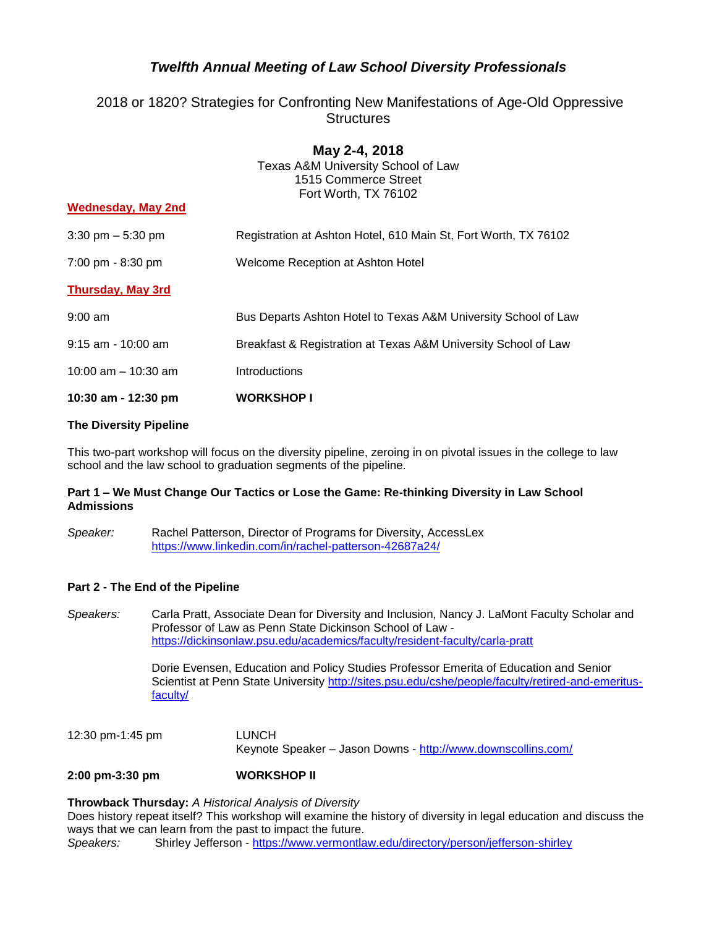# *Twelfth Annual Meeting of Law School Diversity Professionals*

# 2018 or 1820? Strategies for Confronting New Manifestations of Age-Old Oppressive **Structures**

| <b>Wednesday, May 2nd</b>           | May 2-4, 2018<br>Texas A&M University School of Law<br>1515 Commerce Street<br>Fort Worth, TX 76102 |
|-------------------------------------|-----------------------------------------------------------------------------------------------------|
| $3:30 \text{ pm} - 5:30 \text{ pm}$ | Registration at Ashton Hotel, 610 Main St, Fort Worth, TX 76102                                     |
| 7:00 pm - 8:30 pm                   | Welcome Reception at Ashton Hotel                                                                   |
| <b>Thursday, May 3rd</b>            |                                                                                                     |
| $9:00$ am                           | Bus Departs Ashton Hotel to Texas A&M University School of Law                                      |
| $9:15$ am - 10:00 am                | Breakfast & Registration at Texas A&M University School of Law                                      |
| 10:00 am $-$ 10:30 am               | Introductions                                                                                       |
| 10:30 am - 12:30 pm                 | <b>WORKSHOP I</b>                                                                                   |

# **The Diversity Pipeline**

This two-part workshop will focus on the diversity pipeline, zeroing in on pivotal issues in the college to law school and the law school to graduation segments of the pipeline.

# **Part 1 – We Must Change Our Tactics or Lose the Game: Re-thinking Diversity in Law School Admissions**

*Speaker:* Rachel Patterson, Director of Programs for Diversity, AccessLex <https://www.linkedin.com/in/rachel-patterson-42687a24/>

# **Part 2 - The End of the Pipeline**

*Speakers:* Carla Pratt, Associate Dean for Diversity and Inclusion, Nancy J. LaMont Faculty Scholar and Professor of Law as Penn State Dickinson School of Law <https://dickinsonlaw.psu.edu/academics/faculty/resident-faculty/carla-pratt>

> Dorie Evensen, Education and Policy Studies Professor Emerita of Education and Senior Scientist at Penn State University [http://sites.psu.edu/cshe/people/faculty/retired-and-emeritus](http://sites.psu.edu/cshe/people/faculty/retired-and-emeritus-faculty/)[faculty/](http://sites.psu.edu/cshe/people/faculty/retired-and-emeritus-faculty/)

12:30 pm-1:45 pm LUNCH Keynote Speaker – Jason Downs - <http://www.downscollins.com/>

**2:00 pm-3:30 pm WORKSHOP II**

# **Throwback Thursday:** *A Historical Analysis of Diversity*

Does history repeat itself? This workshop will examine the history of diversity in legal education and discuss the ways that we can learn from the past to impact the future. *Speakers:* Shirley Jefferson - <https://www.vermontlaw.edu/directory/person/jefferson-shirley>